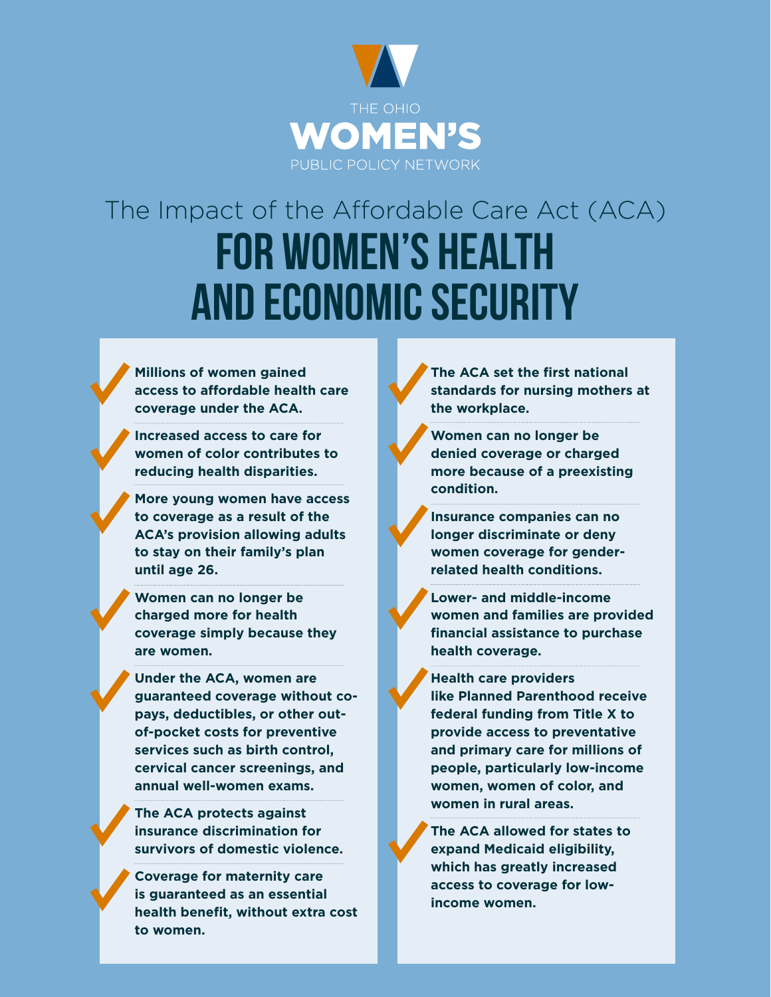

# The Impact of the Affordable Care Act (ACA) FOR WOMEN'S HEALTH AND ECONOMIC SECURITY

**Millions of women gained access to affordable health care coverage under the ACA.** 

**Increased access to care for women of color contributes to reducing health disparities.** 

**More young women have access to coverage as a result of the ACA's provision allowing adults to stay on their family's plan until age 26.**

**Women can no longer be charged more for health coverage simply because they are women.** 

**Under the ACA, women are guaranteed coverage without copays, deductibles, or other outof-pocket costs for preventive services such as birth control, cervical cancer screenings, and annual well-women exams.**

**The ACA protects against insurance discrimination for survivors of domestic violence.** 

**Coverage for maternity care is guaranteed as an essential health benefit, without extra cost to women.** 

**The ACA set the first national standards for nursing mothers at the workplace.**

**Women can no longer be denied coverage or charged more because of a preexisting condition.** 

**Insurance companies can no longer discriminate or deny women coverage for genderrelated health conditions.** 

**Lower- and middle-income women and families are provided financial assistance to purchase health coverage.** 

**Health care providers like Planned Parenthood receive federal funding from Title X to provide access to preventative and primary care for millions of people, particularly low-income women, women of color, and women in rural areas.**

**The ACA allowed for states to expand Medicaid eligibility, which has greatly increased access to coverage for lowincome women.**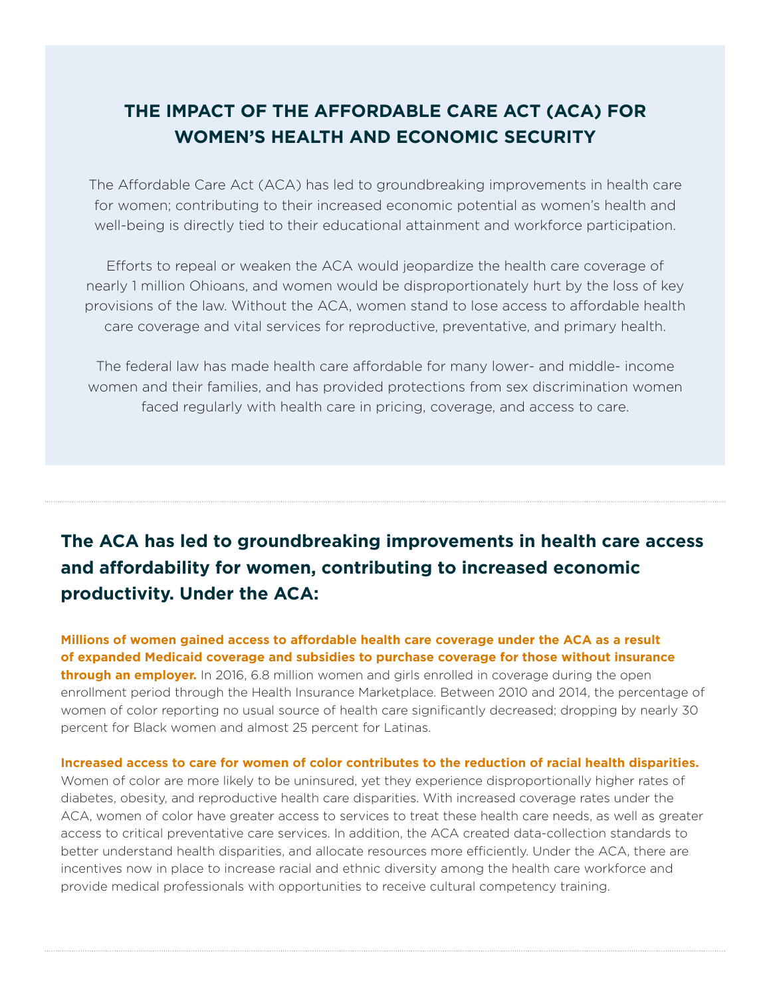## **THE IMPACT OF THE AFFORDABLE CARE ACT (ACA) FOR WOMEN'S HEALTH AND ECONOMIC SECURITY**

The Affordable Care Act (ACA) has led to groundbreaking improvements in health care for women; contributing to their increased economic potential as women's health and well-being is directly tied to their educational attainment and workforce participation.

Efforts to repeal or weaken the ACA would jeopardize the health care coverage of nearly 1 million Ohioans, and women would be disproportionately hurt by the loss of key provisions of the law. Without the ACA, women stand to lose access to affordable health care coverage and vital services for reproductive, preventative, and primary health.

The federal law has made health care affordable for many lower- and middle- income women and their families, and has provided protections from sex discrimination women faced regularly with health care in pricing, coverage, and access to care.

# **The ACA has led to groundbreaking improvements in health care access and affordability for women, contributing to increased economic productivity. Under the ACA:**

**Millions of women gained access to affordable health care coverage under the ACA as a result of expanded Medicaid coverage and subsidies to purchase coverage for those without insurance through an employer.** In 2016, 6.8 million women and girls enrolled in coverage during the open enrollment period through the Health Insurance Marketplace. Between 2010 and 2014, the percentage of women of color reporting no usual source of health care significantly decreased; dropping by nearly 30 percent for Black women and almost 25 percent for Latinas.

**Increased access to care for women of color contributes to the reduction of racial health disparities.**  Women of color are more likely to be uninsured, yet they experience disproportionally higher rates of diabetes, obesity, and reproductive health care disparities. With increased coverage rates under the ACA, women of color have greater access to services to treat these health care needs, as well as greater access to critical preventative care services. In addition, the ACA created data-collection standards to better understand health disparities, and allocate resources more efficiently. Under the ACA, there are incentives now in place to increase racial and ethnic diversity among the health care workforce and provide medical professionals with opportunities to receive cultural competency training.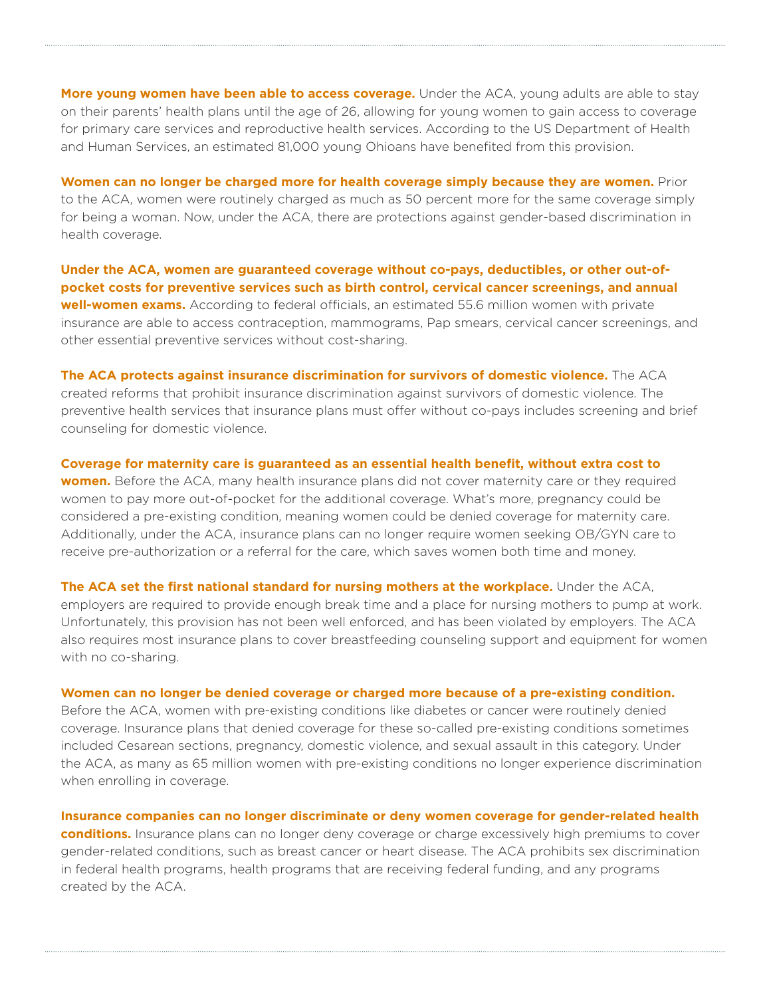**More young women have been able to access coverage.** Under the ACA, young adults are able to stay on their parents' health plans until the age of 26, allowing for young women to gain access to coverage for primary care services and reproductive health services. According to the US Department of Health and Human Services, an estimated 81,000 young Ohioans have benefited from this provision.

**Women can no longer be charged more for health coverage simply because they are women.** Prior to the ACA, women were routinely charged as much as 50 percent more for the same coverage simply for being a woman. Now, under the ACA, there are protections against gender-based discrimination in health coverage.

**Under the ACA, women are guaranteed coverage without co-pays, deductibles, or other out-ofpocket costs for preventive services such as birth control, cervical cancer screenings, and annual well-women exams.** According to federal officials, an estimated 55.6 million women with private insurance are able to access contraception, mammograms, Pap smears, cervical cancer screenings, and other essential preventive services without cost-sharing.

**The ACA protects against insurance discrimination for survivors of domestic violence.** The ACA created reforms that prohibit insurance discrimination against survivors of domestic violence. The preventive health services that insurance plans must offer without co-pays includes screening and brief counseling for domestic violence.

**Coverage for maternity care is guaranteed as an essential health benefit, without extra cost to women.** Before the ACA, many health insurance plans did not cover maternity care or they required women to pay more out-of-pocket for the additional coverage. What's more, pregnancy could be considered a pre-existing condition, meaning women could be denied coverage for maternity care. Additionally, under the ACA, insurance plans can no longer require women seeking OB/GYN care to receive pre-authorization or a referral for the care, which saves women both time and money.

**The ACA set the first national standard for nursing mothers at the workplace.** Under the ACA, employers are required to provide enough break time and a place for nursing mothers to pump at work. Unfortunately, this provision has not been well enforced, and has been violated by employers. The ACA also requires most insurance plans to cover breastfeeding counseling support and equipment for women with no co-sharing.

#### **Women can no longer be denied coverage or charged more because of a pre-existing condition.**

Before the ACA, women with pre-existing conditions like diabetes or cancer were routinely denied coverage. Insurance plans that denied coverage for these so-called pre-existing conditions sometimes included Cesarean sections, pregnancy, domestic violence, and sexual assault in this category. Under the ACA, as many as 65 million women with pre-existing conditions no longer experience discrimination when enrolling in coverage.

**Insurance companies can no longer discriminate or deny women coverage for gender-related health conditions.** Insurance plans can no longer deny coverage or charge excessively high premiums to cover gender-related conditions, such as breast cancer or heart disease. The ACA prohibits sex discrimination in federal health programs, health programs that are receiving federal funding, and any programs created by the ACA.